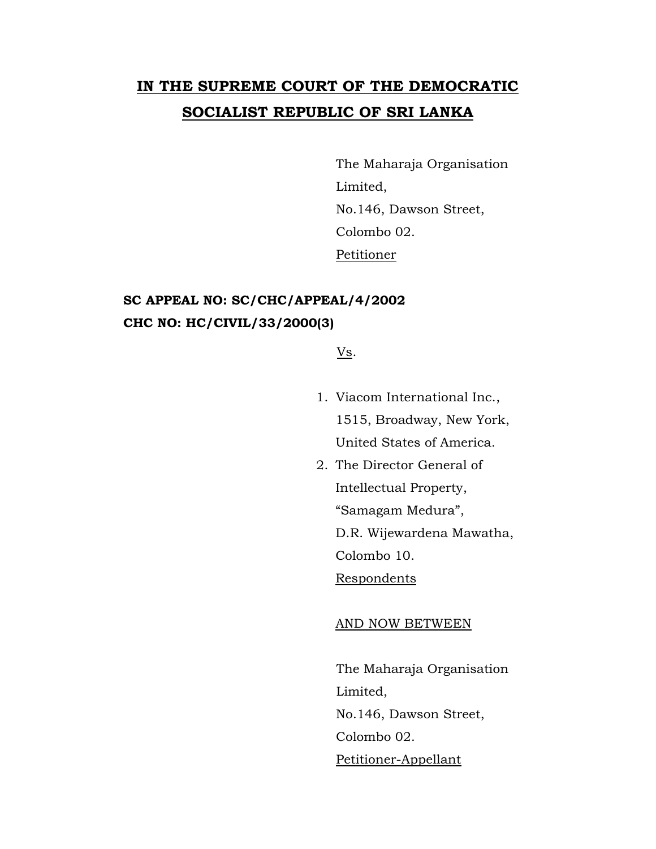# **IN THE SUPREME COURT OF THE DEMOCRATIC SOCIALIST REPUBLIC OF SRI LANKA**

The Maharaja Organisation Limited, No.146, Dawson Street, Colombo 02. Petitioner

## **SC APPEAL NO: SC/CHC/APPEAL/4/2002 CHC NO: HC/CIVIL/33/2000(3)**

Vs.

- 1. Viacom International Inc., 1515, Broadway, New York, United States of America.
- 2. The Director General of Intellectual Property, "Samagam Medura", D.R. Wijewardena Mawatha, Colombo 10. Respondents

#### AND NOW BETWEEN

The Maharaja Organisation Limited, No.146, Dawson Street, Colombo 02. Petitioner-Appellant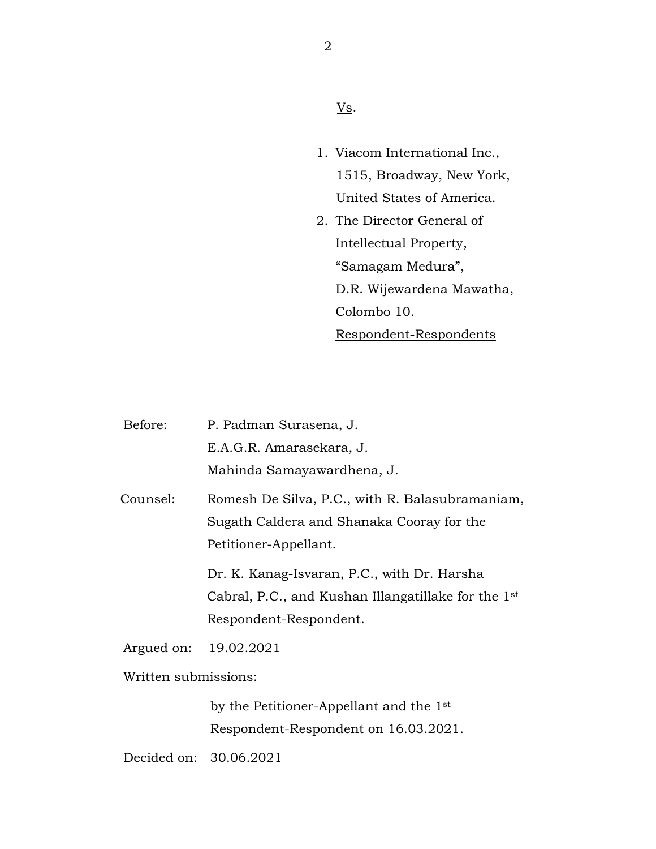### $\underline{\mathbf{V}}\underline{\mathbf{s}}$ .

- 1. Viacom International Inc., 1515, Broadway, New York, United States of America.
- 2. The Director General of Intellectual Property, "Samagam Medura", D.R. Wijewardena Mawatha, Colombo 10. Respondent-Respondents

| Before:              | P. Padman Surasena, J.                                          |
|----------------------|-----------------------------------------------------------------|
|                      | E.A.G.R. Amarasekara, J.                                        |
|                      | Mahinda Samayawardhena, J.                                      |
| Counsel:             | Romesh De Silva, P.C., with R. Balasubramaniam,                 |
|                      | Sugath Caldera and Shanaka Cooray for the                       |
|                      | Petitioner-Appellant.                                           |
|                      | Dr. K. Kanag-Isvaran, P.C., with Dr. Harsha                     |
|                      | Cabral, P.C., and Kushan Illangatillake for the 1 <sup>st</sup> |
|                      | Respondent-Respondent.                                          |
| Argued on:           | 19.02.2021                                                      |
| Written submissions: |                                                                 |

by the Petitioner-Appellant and the 1st Respondent-Respondent on 16.03.2021.

Decided on: 30.06.2021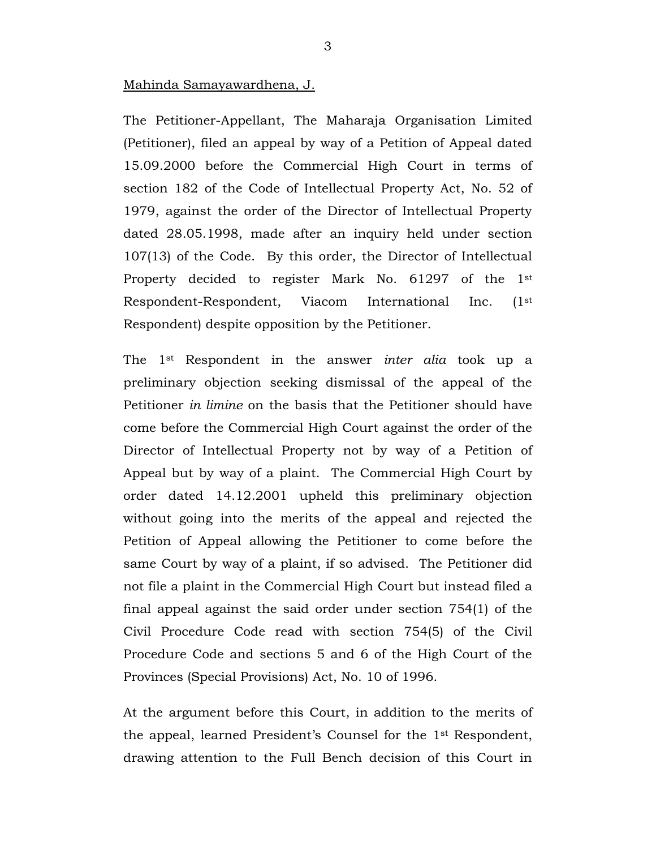#### Mahinda Samayawardhena, J.

The Petitioner-Appellant, The Maharaja Organisation Limited (Petitioner), filed an appeal by way of a Petition of Appeal dated 15.09.2000 before the Commercial High Court in terms of section 182 of the Code of Intellectual Property Act, No. 52 of 1979, against the order of the Director of Intellectual Property dated 28.05.1998, made after an inquiry held under section 107(13) of the Code. By this order, the Director of Intellectual Property decided to register Mark No. 61297 of the 1st Respondent-Respondent, Viacom International Inc. (1st Respondent) despite opposition by the Petitioner.

The 1st Respondent in the answer *inter alia* took up a preliminary objection seeking dismissal of the appeal of the Petitioner *in limine* on the basis that the Petitioner should have come before the Commercial High Court against the order of the Director of Intellectual Property not by way of a Petition of Appeal but by way of a plaint. The Commercial High Court by order dated 14.12.2001 upheld this preliminary objection without going into the merits of the appeal and rejected the Petition of Appeal allowing the Petitioner to come before the same Court by way of a plaint, if so advised. The Petitioner did not file a plaint in the Commercial High Court but instead filed a final appeal against the said order under section 754(1) of the Civil Procedure Code read with section 754(5) of the Civil Procedure Code and sections 5 and 6 of the High Court of the Provinces (Special Provisions) Act, No. 10 of 1996.

At the argument before this Court, in addition to the merits of the appeal, learned President's Counsel for the 1st Respondent, drawing attention to the Full Bench decision of this Court in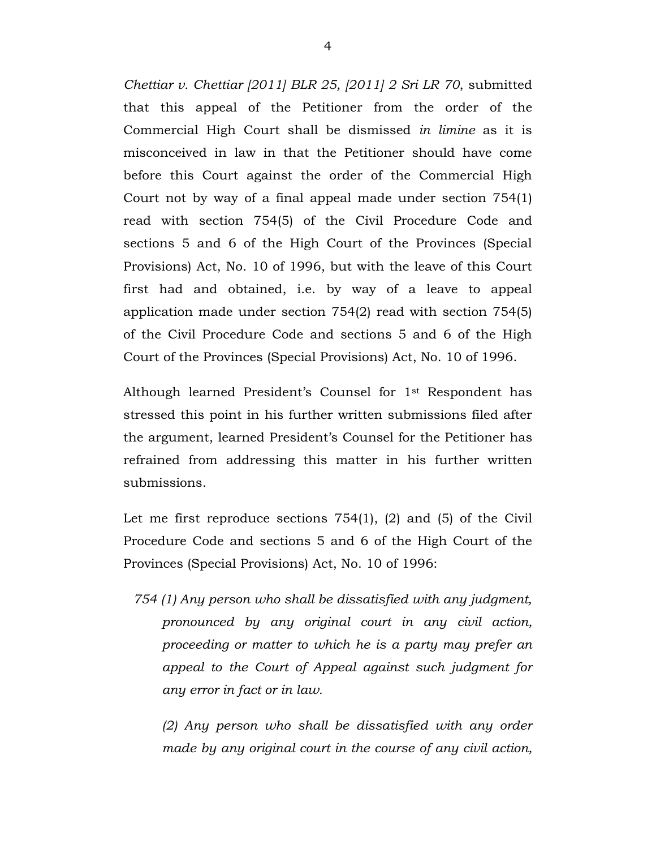*Chettiar v. Chettiar [2011] BLR 25, [2011] 2 Sri LR 70*, submitted that this appeal of the Petitioner from the order of the Commercial High Court shall be dismissed *in limine* as it is misconceived in law in that the Petitioner should have come before this Court against the order of the Commercial High Court not by way of a final appeal made under section 754(1) read with section 754(5) of the Civil Procedure Code and sections 5 and 6 of the High Court of the Provinces (Special Provisions) Act, No. 10 of 1996, but with the leave of this Court first had and obtained, i.e. by way of a leave to appeal application made under section 754(2) read with section 754(5) of the Civil Procedure Code and sections 5 and 6 of the High Court of the Provinces (Special Provisions) Act, No. 10 of 1996.

Although learned President's Counsel for 1st Respondent has stressed this point in his further written submissions filed after the argument, learned President's Counsel for the Petitioner has refrained from addressing this matter in his further written submissions.

Let me first reproduce sections 754(1), (2) and (5) of the Civil Procedure Code and sections 5 and 6 of the High Court of the Provinces (Special Provisions) Act, No. 10 of 1996:

*754 (1) Any person who shall be dissatisfied with any judgment, pronounced by any original court in any civil action, proceeding or matter to which he is a party may prefer an appeal to the Court of Appeal against such judgment for any error in fact or in law.*

*(2) Any person who shall be dissatisfied with any order made by any original court in the course of any civil action,*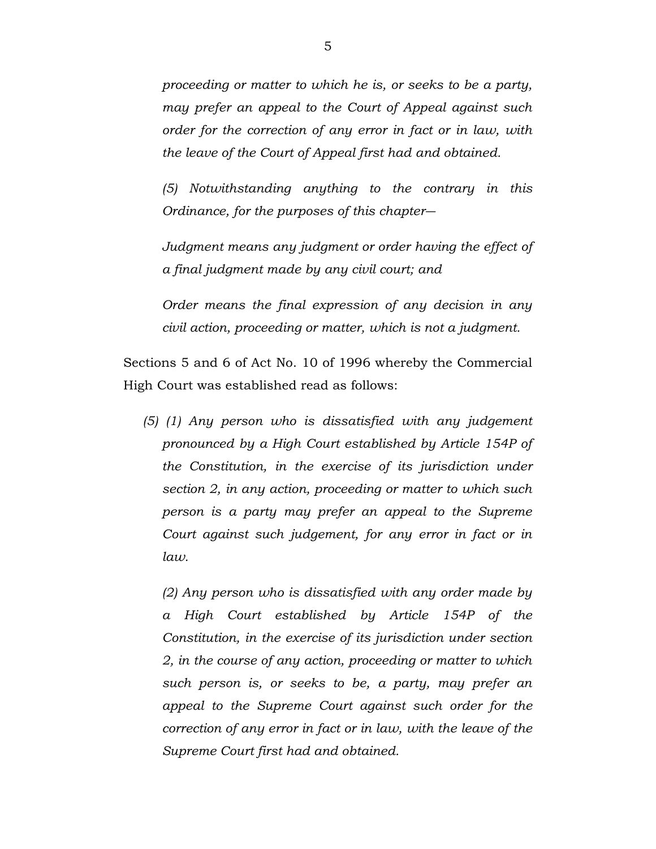*proceeding or matter to which he is, or seeks to be a party, may prefer an appeal to the Court of Appeal against such order for the correction of any error in fact or in law, with the leave of the Court of Appeal first had and obtained.*

*(5) Notwithstanding anything to the contrary in this Ordinance, for the purposes of this chapter―*

*Judgment means any judgment or order having the effect of a final judgment made by any civil court; and*

*Order means the final expression of any decision in any civil action, proceeding or matter, which is not a judgment.*

Sections 5 and 6 of Act No. 10 of 1996 whereby the Commercial High Court was established read as follows:

*(5) (1) Any person who is dissatisfied with any judgement pronounced by a High Court established by Article 154P of the Constitution, in the exercise of its jurisdiction under section 2, in any action, proceeding or matter to which such person is a party may prefer an appeal to the Supreme Court against such judgement, for any error in fact or in law.*

*(2) Any person who is dissatisfied with any order made by a High Court established by Article 154P of the Constitution, in the exercise of its jurisdiction under section 2, in the course of any action, proceeding or matter to which such person is, or seeks to be, a party, may prefer an appeal to the Supreme Court against such order for the correction of any error in fact or in law, with the leave of the Supreme Court first had and obtained.*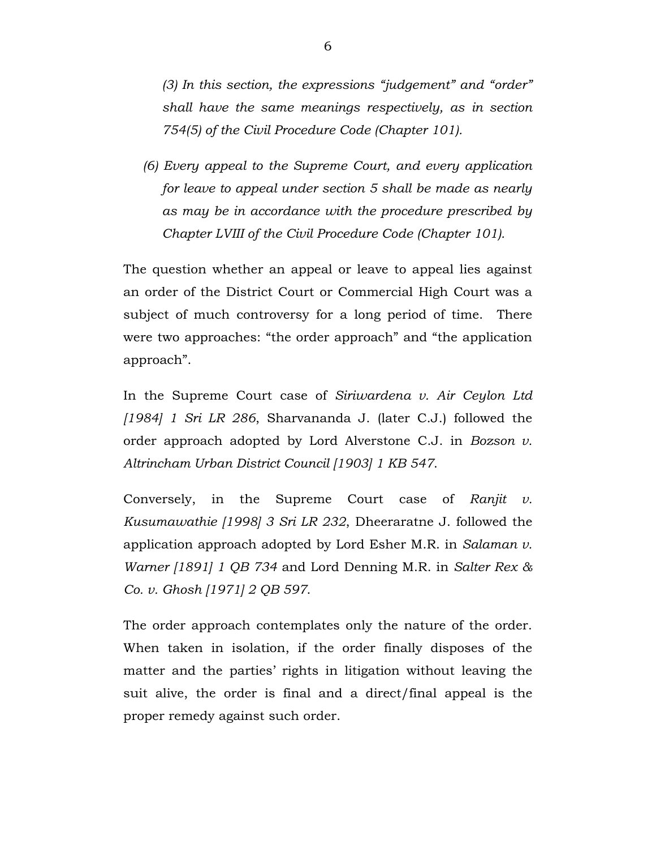*(3) In this section, the expressions "judgement" and "order" shall have the same meanings respectively, as in section 754(5) of the Civil Procedure Code (Chapter 101).*

*(6) Every appeal to the Supreme Court, and every application for leave to appeal under section 5 shall be made as nearly as may be in accordance with the procedure prescribed by Chapter LVIII of the Civil Procedure Code (Chapter 101).*

The question whether an appeal or leave to appeal lies against an order of the District Court or Commercial High Court was a subject of much controversy for a long period of time. There were two approaches: "the order approach" and "the application approach".

In the Supreme Court case of *Siriwardena v. Air Ceylon Ltd [1984] 1 Sri LR 286*, Sharvananda J. (later C.J.) followed the order approach adopted by Lord Alverstone C.J. in *Bozson v. Altrincham Urban District Council [1903] 1 KB 547*.

Conversely, in the Supreme Court case of *Ranjit v. Kusumawathie [1998] 3 Sri LR 232*, Dheeraratne J. followed the application approach adopted by Lord Esher M.R. in *Salaman v. Warner [1891] 1 QB 734* and Lord Denning M.R. in *Salter Rex & Co. v. Ghosh [1971] 2 QB 597*.

The order approach contemplates only the nature of the order. When taken in isolation, if the order finally disposes of the matter and the parties' rights in litigation without leaving the suit alive, the order is final and a direct/final appeal is the proper remedy against such order.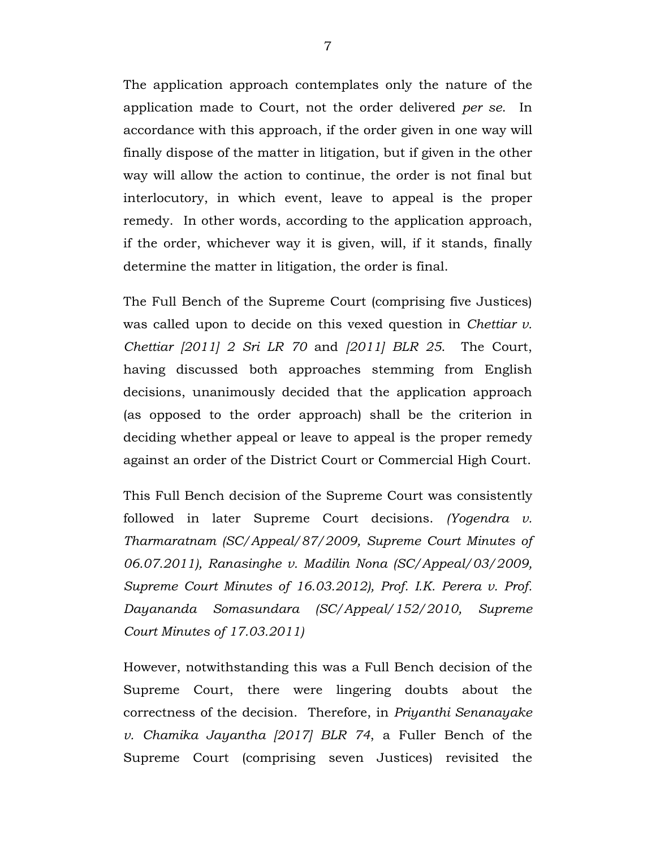The application approach contemplates only the nature of the application made to Court, not the order delivered *per se*. In accordance with this approach, if the order given in one way will finally dispose of the matter in litigation, but if given in the other way will allow the action to continue, the order is not final but interlocutory, in which event, leave to appeal is the proper remedy. In other words, according to the application approach, if the order, whichever way it is given, will, if it stands, finally determine the matter in litigation, the order is final.

The Full Bench of the Supreme Court (comprising five Justices) was called upon to decide on this vexed question in *Chettiar v. Chettiar [2011] 2 Sri LR 70* and *[2011] BLR 25*. The Court, having discussed both approaches stemming from English decisions, unanimously decided that the application approach (as opposed to the order approach) shall be the criterion in deciding whether appeal or leave to appeal is the proper remedy against an order of the District Court or Commercial High Court.

This Full Bench decision of the Supreme Court was consistently followed in later Supreme Court decisions. *(Yogendra v. Tharmaratnam (SC/Appeal/87/2009, Supreme Court Minutes of 06.07.2011), Ranasinghe v. Madilin Nona (SC/Appeal/03/2009, Supreme Court Minutes of 16.03.2012), Prof. I.K. Perera v. Prof. Dayananda Somasundara (SC/Appeal/152/2010, Supreme Court Minutes of 17.03.2011)*

However, notwithstanding this was a Full Bench decision of the Supreme Court, there were lingering doubts about the correctness of the decision. Therefore, in *Priyanthi Senanayake v. Chamika Jayantha [2017] BLR 74*, a Fuller Bench of the Supreme Court (comprising seven Justices) revisited the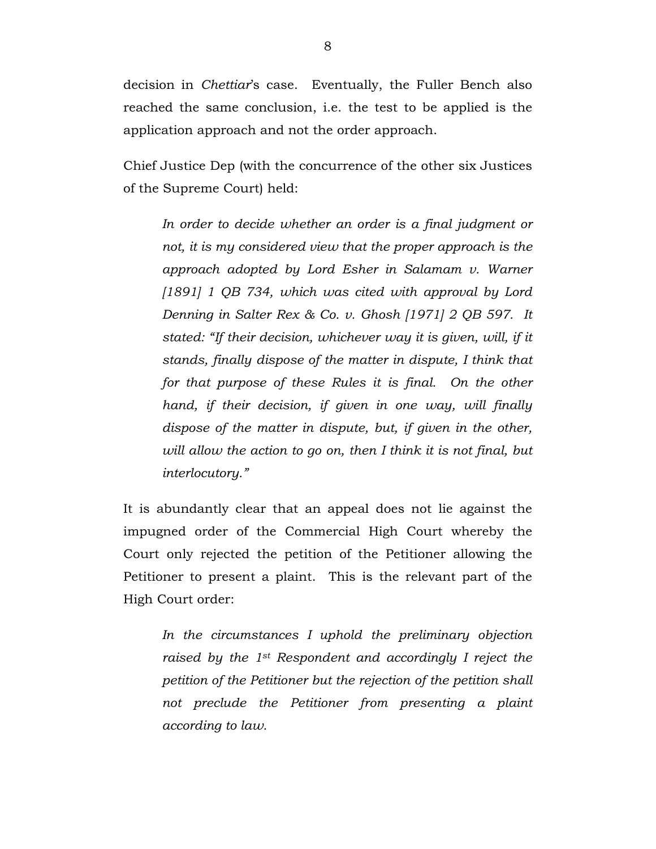decision in *Chettiar*'s case. Eventually, the Fuller Bench also reached the same conclusion, i.e. the test to be applied is the application approach and not the order approach.

Chief Justice Dep (with the concurrence of the other six Justices of the Supreme Court) held:

*In order to decide whether an order is a final judgment or not, it is my considered view that the proper approach is the approach adopted by Lord Esher in Salamam v. Warner [1891] 1 QB 734, which was cited with approval by Lord Denning in Salter Rex & Co. v. Ghosh [1971] 2 QB 597. It stated: "If their decision, whichever way it is given, will, if it stands, finally dispose of the matter in dispute, I think that for that purpose of these Rules it is final. On the other hand, if their decision, if given in one way, will finally dispose of the matter in dispute, but, if given in the other, will allow the action to go on, then I think it is not final, but interlocutory."*

It is abundantly clear that an appeal does not lie against the impugned order of the Commercial High Court whereby the Court only rejected the petition of the Petitioner allowing the Petitioner to present a plaint. This is the relevant part of the High Court order:

*In the circumstances I uphold the preliminary objection raised by the 1st Respondent and accordingly I reject the petition of the Petitioner but the rejection of the petition shall not preclude the Petitioner from presenting a plaint according to law.*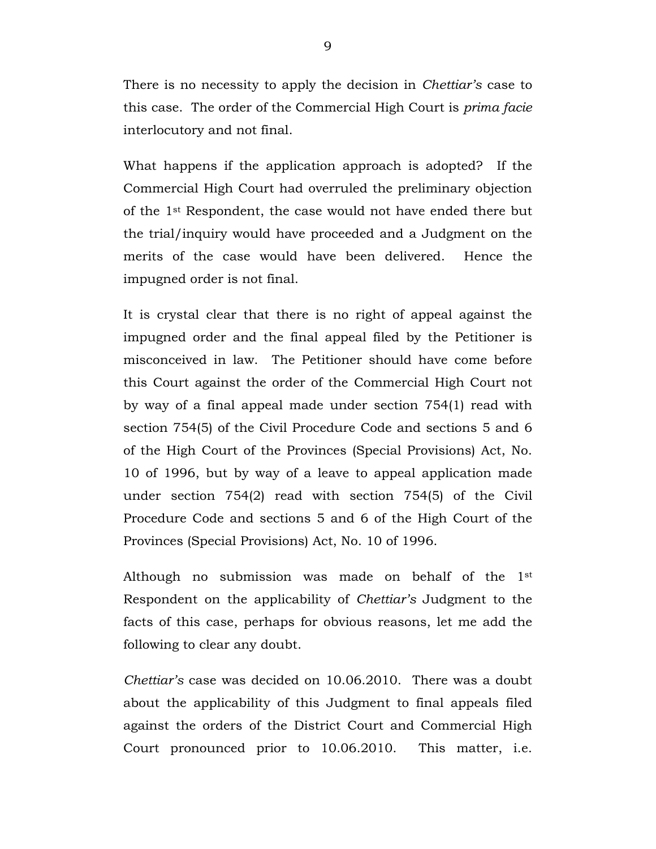There is no necessity to apply the decision in *Chettiar's* case to this case. The order of the Commercial High Court is *prima facie* interlocutory and not final.

What happens if the application approach is adopted? If the Commercial High Court had overruled the preliminary objection of the 1st Respondent, the case would not have ended there but the trial/inquiry would have proceeded and a Judgment on the merits of the case would have been delivered. Hence the impugned order is not final.

It is crystal clear that there is no right of appeal against the impugned order and the final appeal filed by the Petitioner is misconceived in law. The Petitioner should have come before this Court against the order of the Commercial High Court not by way of a final appeal made under section 754(1) read with section 754(5) of the Civil Procedure Code and sections 5 and 6 of the High Court of the Provinces (Special Provisions) Act, No. 10 of 1996, but by way of a leave to appeal application made under section 754(2) read with section 754(5) of the Civil Procedure Code and sections 5 and 6 of the High Court of the Provinces (Special Provisions) Act, No. 10 of 1996.

Although no submission was made on behalf of the 1st Respondent on the applicability of *Chettiar's* Judgment to the facts of this case, perhaps for obvious reasons, let me add the following to clear any doubt.

*Chettiar's* case was decided on 10.06.2010. There was a doubt about the applicability of this Judgment to final appeals filed against the orders of the District Court and Commercial High Court pronounced prior to 10.06.2010. This matter, i.e.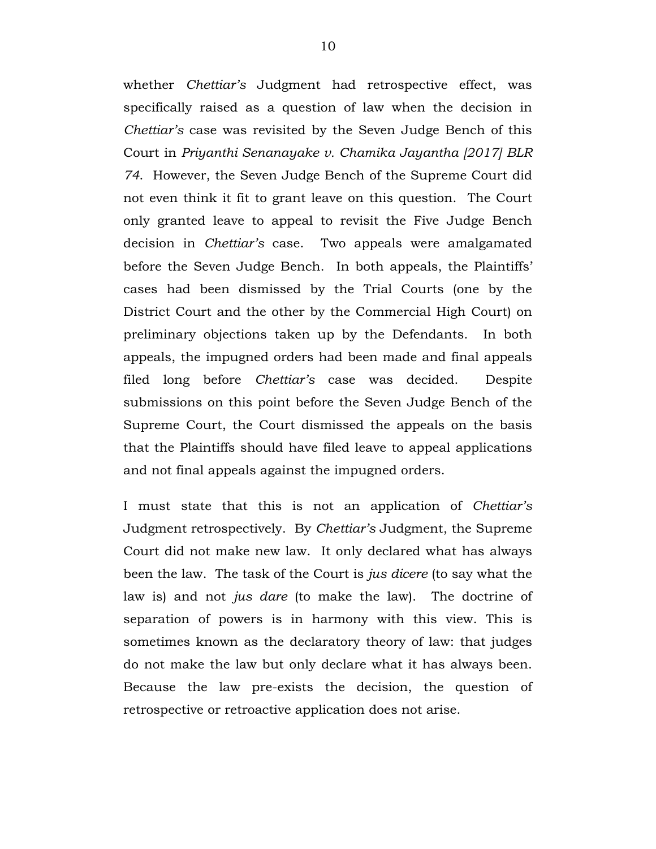whether *Chettiar's* Judgment had retrospective effect, was specifically raised as a question of law when the decision in *Chettiar's* case was revisited by the Seven Judge Bench of this Court in *Priyanthi Senanayake v. Chamika Jayantha [2017] BLR 74*. However, the Seven Judge Bench of the Supreme Court did not even think it fit to grant leave on this question. The Court only granted leave to appeal to revisit the Five Judge Bench decision in *Chettiar's* case. Two appeals were amalgamated before the Seven Judge Bench. In both appeals, the Plaintiffs' cases had been dismissed by the Trial Courts (one by the District Court and the other by the Commercial High Court) on preliminary objections taken up by the Defendants. In both appeals, the impugned orders had been made and final appeals filed long before *Chettiar's* case was decided. Despite submissions on this point before the Seven Judge Bench of the Supreme Court, the Court dismissed the appeals on the basis that the Plaintiffs should have filed leave to appeal applications and not final appeals against the impugned orders.

I must state that this is not an application of *Chettiar's* Judgment retrospectively. By *Chettiar's* Judgment, the Supreme Court did not make new law. It only declared what has always been the law. The task of the Court is *jus dicere* (to say what the law is) and not *jus dare* (to make the law). The doctrine of separation of powers is in harmony with this view. This is sometimes known as the declaratory theory of law: that judges do not make the law but only declare what it has always been. Because the law pre-exists the decision, the question of retrospective or retroactive application does not arise.